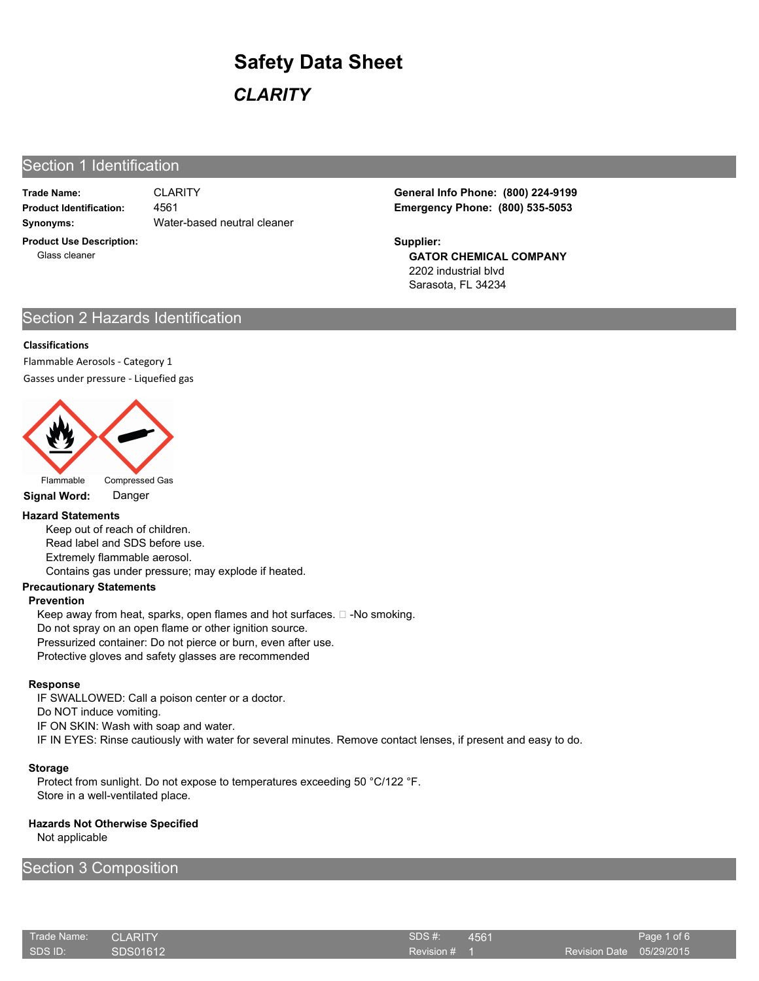# Section 1 Identification

**Trade Name:**

4561

**Product Use Description:** Glass cleaner

**Synonyms:** Water-based neutral cleaner

**Product Identification: Emergency Phone: (800) 535-5053** CLARITY **General Info Phone: (800) 224-9199**

> **GATOR CHEMICAL COMPANY** 2202 industrial blvd Sarasota, FL 34234 **Supplier:**

## Section 2 Hazards Identification

## **Classifications**

Flammable Aerosols - Category 1 Gasses under pressure - Liquefied gas



**Signal Word:** Danger

## **Hazard Statements**

Keep out of reach of children. Read label and SDS before use. Extremely flammable aerosol. Contains gas under pressure; may explode if heated.

## **Precautionary Statements**

### **Prevention**

Keep away from heat, sparks, open flames and hot surfaces.  $\square$  -No smoking. Do not spray on an open flame or other ignition source. Pressurized container: Do not pierce or burn, even after use. Protective gloves and safety glasses are recommended

### **Response**

IF SWALLOWED: Call a poison center or a doctor. Do NOT induce vomiting. IF ON SKIN: Wash with soap and water. IF IN EYES: Rinse cautiously with water for several minutes. Remove contact lenses, if present and easy to do.

### **Storage**

Protect from sunlight. Do not expose to temperatures exceeding 50 °C/122 °F. Store in a well-ventilated place.

### **Hazards Not Otherwise Specified**

Not applicable

## Section 3 Composition

| Trade Name: CLARITY |                 | SDS#:          | 4561 |                          | Page 1 of 6 |
|---------------------|-----------------|----------------|------|--------------------------|-------------|
| SDS ID:             | <b>SDS01612</b> | Revision $# 2$ |      | Revision Date 05/29/2015 |             |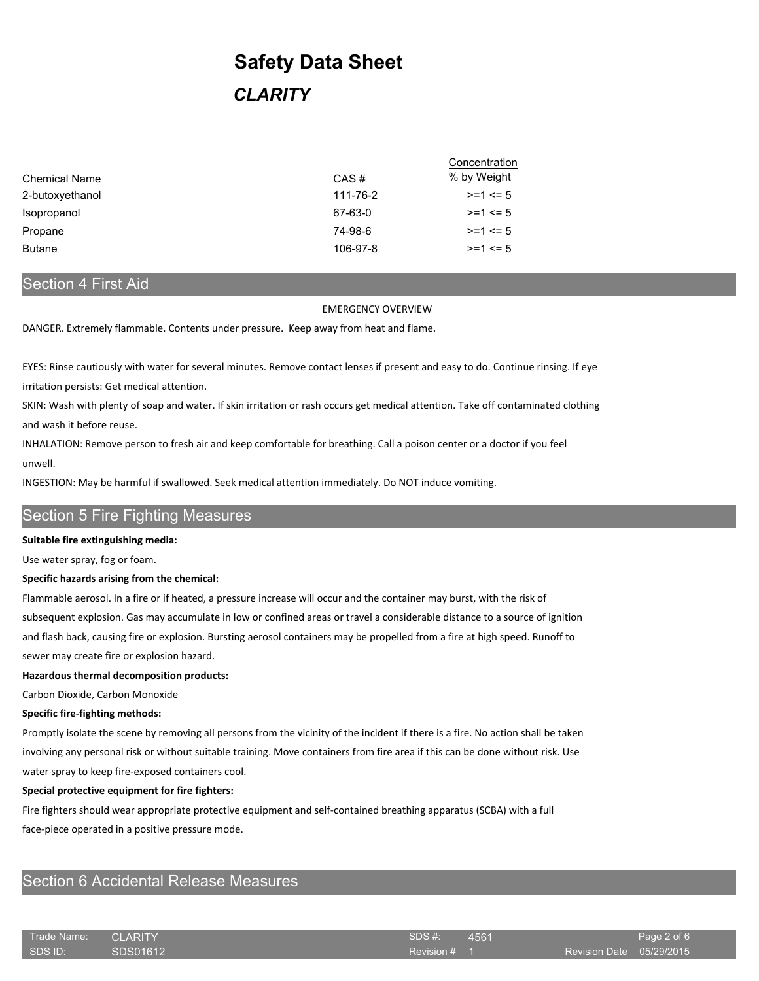|          | Concentration |
|----------|---------------|
| CAS#     | % by Weight   |
| 111-76-2 | $>= 1 \le 5$  |
| 67-63-0  | $>= 1 \le 5$  |
| 74-98-6  | $>= 1 \le 5$  |
| 106-97-8 | $>= 1 \le 5$  |
|          |               |

## Section 4 First Aid

### EMERGENCY OVERVIEW

DANGER. Extremely flammable. Contents under pressure. Keep away from heat and flame.

EYES: Rinse cautiously with water for several minutes. Remove contact lenses if present and easy to do. Continue rinsing. If eye irritation persists: Get medical attention.

SKIN: Wash with plenty of soap and water. If skin irritation or rash occurs get medical attention. Take off contaminated clothing and wash it before reuse.

INHALATION: Remove person to fresh air and keep comfortable for breathing. Call a poison center or a doctor if you feel unwell.

INGESTION: May be harmful if swallowed. Seek medical attention immediately. Do NOT induce vomiting.

## Section 5 Fire Fighting Measures

### **Suitable fire extinguishing media:**

Use water spray, fog or foam.

### **Specific hazards arising from the chemical:**

Flammable aerosol. In a fire or if heated, a pressure increase will occur and the container may burst, with the risk of subsequent explosion. Gas may accumulate in low or confined areas or travel a considerable distance to a source of ignition and flash back, causing fire or explosion. Bursting aerosol containers may be propelled from a fire at high speed. Runoff to sewer may create fire or explosion hazard.

#### **Hazardous thermal decomposition products:**

Carbon Dioxide, Carbon Monoxide

### **Specific fire-fighting methods:**

Promptly isolate the scene by removing all persons from the vicinity of the incident if there is a fire. No action shall be taken involving any personal risk or without suitable training. Move containers from fire area if this can be done without risk. Use water spray to keep fire-exposed containers cool.

#### **Special protective equipment for fire fighters:**

Fire fighters should wear appropriate protective equipment and self-contained breathing apparatus (SCBA) with a full face-piece operated in a positive pressure mode.

## Section 6 Accidental Release Measures

| Trade Name: CLARITY |          | SDS #:       | 4561 |                          | Page 2 of 6 |
|---------------------|----------|--------------|------|--------------------------|-------------|
| SDS ID:             | SDS01612 | Revision # 1 |      | Revision Date 05/29/2015 |             |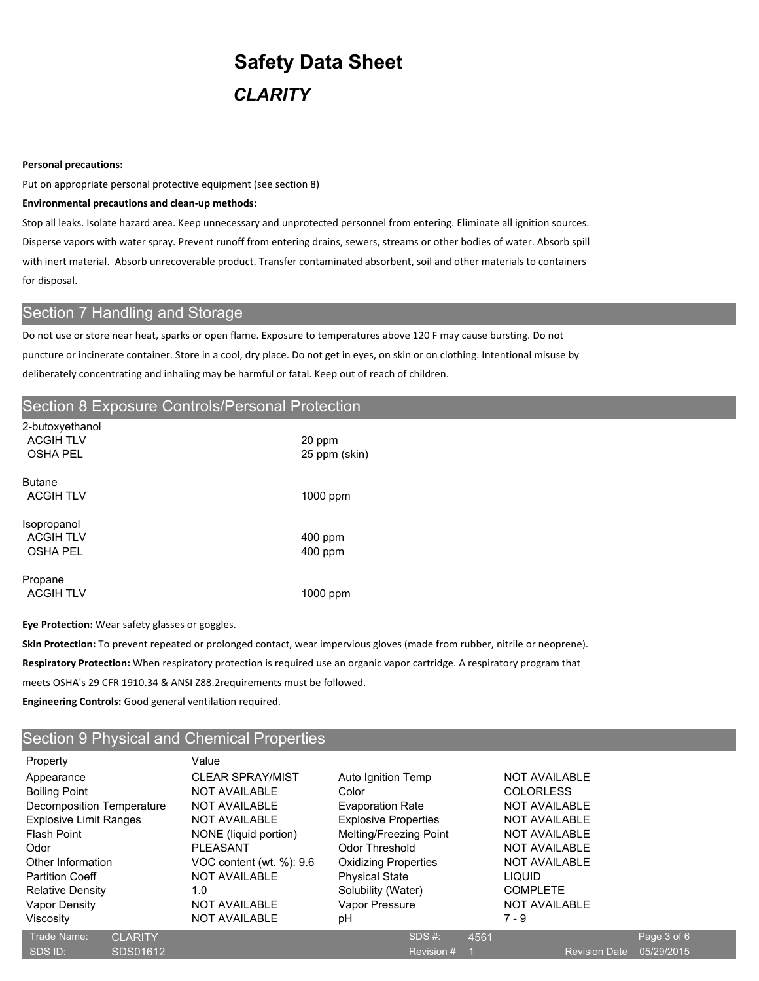#### **Personal precautions:**

Put on appropriate personal protective equipment (see section 8)

### **Environmental precautions and clean-up methods:**

Stop all leaks. Isolate hazard area. Keep unnecessary and unprotected personnel from entering. Eliminate all ignition sources. Disperse vapors with water spray. Prevent runoff from entering drains, sewers, streams or other bodies of water. Absorb spill with inert material. Absorb unrecoverable product. Transfer contaminated absorbent, soil and other materials to containers for disposal.

## Section 7 Handling and Storage

Do not use or store near heat, sparks or open flame. Exposure to temperatures above 120 F may cause bursting. Do not puncture or incinerate container. Store in a cool, dry place. Do not get in eyes, on skin or on clothing. Intentional misuse by deliberately concentrating and inhaling may be harmful or fatal. Keep out of reach of children.

## Section 8 Exposure Controls/Personal Protection

| 2-butoxyethanol<br><b>ACGIH TLV</b><br><b>OSHA PEL</b> | 20 ppm<br>25 ppm (skin) |
|--------------------------------------------------------|-------------------------|
| <b>Butane</b><br><b>ACGIH TLV</b>                      | 1000 ppm                |
| Isopropanol<br><b>ACGIH TLV</b><br><b>OSHA PEL</b>     | 400 ppm<br>400 ppm      |
| Propane<br><b>ACGIH TLV</b>                            | 1000 ppm                |

**Eye Protection:** Wear safety glasses or goggles.

**Skin Protection:** To prevent repeated or prolonged contact, wear impervious gloves (made from rubber, nitrile or neoprene).

**Respiratory Protection:** When respiratory protection is required use an organic vapor cartridge. A respiratory program that

meets OSHA's 29 CFR 1910.34 & ANSI Z88.2requirements must be followed.

**Engineering Controls:** Good general ventilation required.

# Section 9 Physical and Chemical Properties

| Property                      |                | Value                    |                             |            |                      |                      |                      |
|-------------------------------|----------------|--------------------------|-----------------------------|------------|----------------------|----------------------|----------------------|
| Appearance                    |                | <b>CLEAR SPRAY/MIST</b>  | Auto Ignition Temp          |            |                      | <b>NOT AVAILABLE</b> |                      |
| <b>Boiling Point</b>          |                | <b>NOT AVAILABLE</b>     | Color                       |            |                      | <b>COLORLESS</b>     |                      |
| Decomposition Temperature     |                | <b>NOT AVAILABLE</b>     | <b>Evaporation Rate</b>     |            |                      | <b>NOT AVAILABLE</b> |                      |
| <b>Explosive Limit Ranges</b> |                | <b>NOT AVAILABLE</b>     | <b>Explosive Properties</b> |            |                      | <b>NOT AVAILABLE</b> |                      |
| <b>Flash Point</b>            |                | NONE (liquid portion)    | Melting/Freezing Point      |            |                      | <b>NOT AVAILABLE</b> |                      |
| Odor                          |                | <b>PLEASANT</b>          | Odor Threshold              |            |                      | <b>NOT AVAILABLE</b> |                      |
| Other Information             |                | VOC content (wt. %): 9.6 | <b>Oxidizing Properties</b> |            | <b>NOT AVAILABLE</b> |                      |                      |
| <b>Partition Coeff</b>        |                | <b>NOT AVAILABLE</b>     | <b>Physical State</b>       |            | <b>LIQUID</b>        |                      |                      |
| <b>Relative Density</b>       |                | 1.0                      | Solubility (Water)          |            |                      | <b>COMPLETE</b>      |                      |
| Vapor Density                 |                | <b>NOT AVAILABLE</b>     | Vapor Pressure              |            |                      | <b>NOT AVAILABLE</b> |                      |
| Viscosity                     |                | <b>NOT AVAILABLE</b>     | рH                          |            |                      | $7 - 9$              |                      |
| Trade Name:                   | <b>CLARITY</b> |                          |                             | SDS#       | 4561                 |                      |                      |
| $SDSID+$                      | SDS01612       |                          |                             | Revision # |                      |                      | <b>Revision Date</b> |

SDS ID: SDS01612 Revision Date 05/29/2015

Page 3 of 6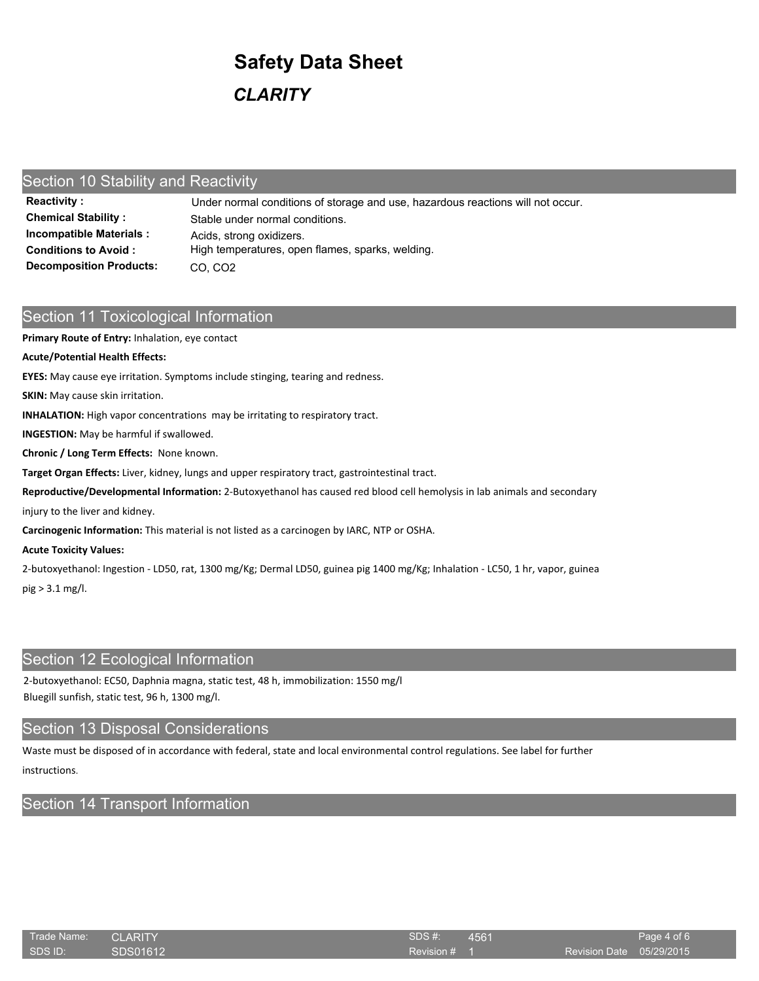# Section 10 Stability and Reactivity

| <b>Reactivity:</b>             | Under normal conditions of storage and use, hazardous reactions will not occur. |
|--------------------------------|---------------------------------------------------------------------------------|
| <b>Chemical Stability:</b>     | Stable under normal conditions.                                                 |
| Incompatible Materials :       | Acids, strong oxidizers.                                                        |
| <b>Conditions to Avoid :</b>   | High temperatures, open flames, sparks, welding.                                |
| <b>Decomposition Products:</b> | CO, CO <sub>2</sub>                                                             |

## Section 11 Toxicological Information

**Primary Route of Entry:** Inhalation, eye contact

### **Acute/Potential Health Effects:**

**EYES:** May cause eye irritation. Symptoms include stinging, tearing and redness.

**SKIN:** May cause skin irritation.

**INHALATION:** High vapor concentrations may be irritating to respiratory tract.

**INGESTION:** May be harmful if swallowed.

**Chronic / Long Term Effects:** None known.

**Target Organ Effects:** Liver, kidney, lungs and upper respiratory tract, gastrointestinal tract.

**Reproductive/Developmental Information:** 2-Butoxyethanol has caused red blood cell hemolysis in lab animals and secondary

injury to the liver and kidney.

**Carcinogenic Information:** This material is not listed as a carcinogen by IARC, NTP or OSHA.

#### **Acute Toxicity Values:**

2-butoxyethanol: Ingestion - LD50, rat, 1300 mg/Kg; Dermal LD50, guinea pig 1400 mg/Kg; Inhalation - LC50, 1 hr, vapor, guinea pig > 3.1 mg/l.

## Section 12 Ecological Information

2-butoxyethanol: EC50, Daphnia magna, static test, 48 h, immobilization: 1550 mg/l Bluegill sunfish, static test, 96 h, 1300 mg/l.

## **Section 13 Disposal Considerations**

Waste must be disposed of in accordance with federal, state and local environmental control regulations. See label for further instructions.

## Section 14 Transport Information

| Trade Name: CLARITY |          | SDS #:       | 4561 |                          | Page 4 of 6 |
|---------------------|----------|--------------|------|--------------------------|-------------|
| SDS ID:             | SDS01612 | Revision # f |      | Revision Date 05/29/2015 |             |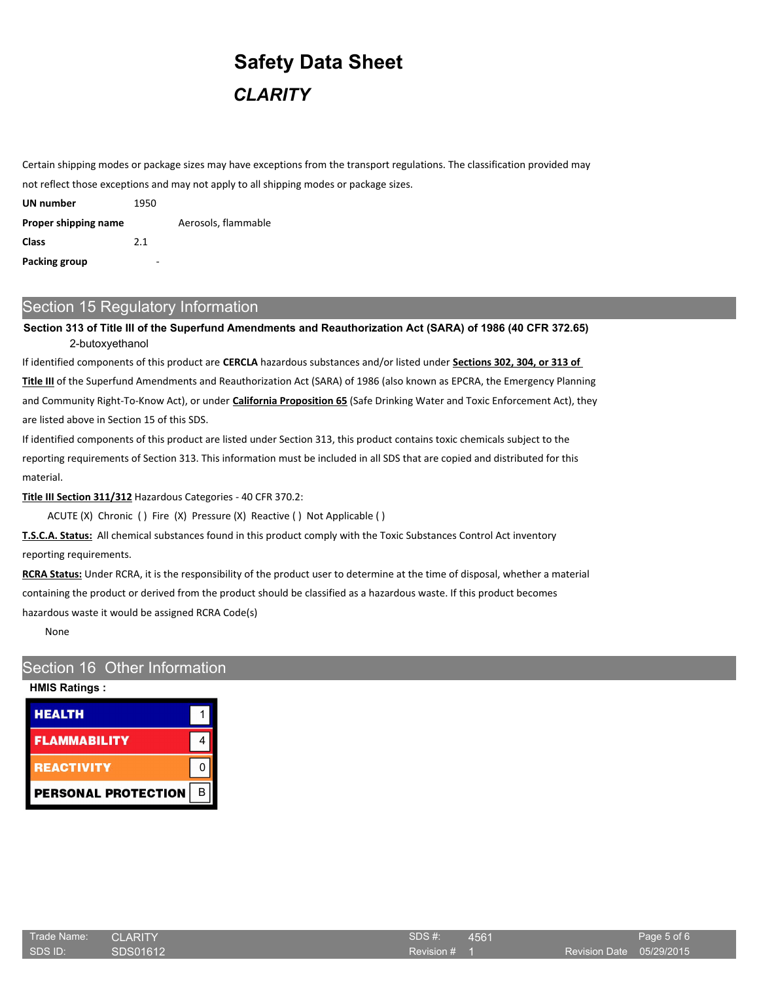Certain shipping modes or package sizes may have exceptions from the transport regulations. The classification provided may not reflect those exceptions and may not apply to all shipping modes or package sizes.

| UN number            | 1950 |                     |
|----------------------|------|---------------------|
| Proper shipping name |      | Aerosols, flammable |
| Class                | 2.1  |                     |
| Packing group        |      |                     |

# Section 15 Regulatory Information

**Section 313 of Title III of the Superfund Amendments and Reauthorization Act (SARA) of 1986 (40 CFR 372.65)** 2-butoxyethanol

If identified components of this product are **CERCLA** hazardous substances and/or listed under **Sections 302, 304, or 313 of Title III** of the Superfund Amendments and Reauthorization Act (SARA) of 1986 (also known as EPCRA, the Emergency Planning and Community Right-To-Know Act), or under **California Proposition 65** (Safe Drinking Water and Toxic Enforcement Act), they are listed above in Section 15 of this SDS.

If identified components of this product are listed under Section 313, this product contains toxic chemicals subject to the reporting requirements of Section 313. This information must be included in all SDS that are copied and distributed for this material.

**Title III Section 311/312** Hazardous Categories - 40 CFR 370.2:

ACUTE (X) Chronic ( ) Fire (X) Pressure (X) Reactive ( ) Not Applicable ( )

**T.S.C.A. Status:** All chemical substances found in this product comply with the Toxic Substances Control Act inventory reporting requirements.

**RCRA Status:** Under RCRA, it is the responsibility of the product user to determine at the time of disposal, whether a material containing the product or derived from the product should be classified as a hazardous waste. If this product becomes hazardous waste it would be assigned RCRA Code(s)

None

## Section 16 Other Information

## **HMIS Ratings :**

| <b>HEALTH</b>              |  |
|----------------------------|--|
| <b>FLAMMABILITY</b>        |  |
| <b>REACTIVITY</b>          |  |
| <b>PERSONAL PROTECTION</b> |  |

| Trade Name: | <b>CLARITY</b> | SDS#    |
|-------------|----------------|---------|
| SDS ID:     | SDS01612       | Revisio |